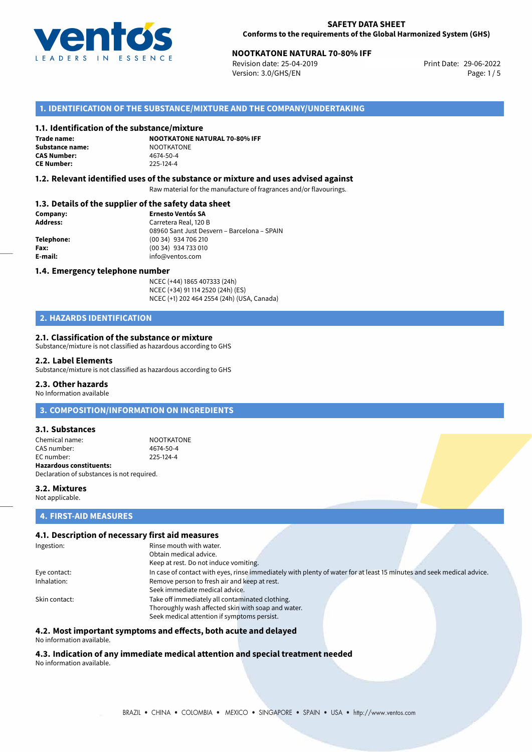

# **NOOTKATONE NATURAL 70-80% IFF**<br>
Revision date: 25-04-2019<br>
Print Date: 29-06-2022

Revision date: 25-04-2019 Version: 3.0/GHS/EN Page: 1/5

### **1. IDENTIFICATION OF THE SUBSTANCE/MIXTURE AND THE COMPANY/UNDERTAKING**

### **1.1. Identification of the substance/mixture**

**Trade name: Substance name:** NOOTKATONE<br> **CAS Number:** 4674-50-4 **CAS Number: CE Number:** 225-124-4

**NOOTKATONE NATURAL 70-80% IFF**

### **1.2. Relevant identified uses of the substance or mixture and uses advised against**

Raw material for the manufacture of fragrances and/or flavourings.

### **1.3. Details of the supplier of the safety data sheet**

| Company:   | <b>Ernesto Ventós SA</b>                    |  |
|------------|---------------------------------------------|--|
| Address:   | Carretera Real, 120 B                       |  |
|            | 08960 Sant Just Desvern - Barcelona - SPAIN |  |
| Telephone: | (00 34) 934 706 210                         |  |
| Fax:       | (00 34) 934 733 010                         |  |
| E-mail:    | info@ventos.com                             |  |
|            |                                             |  |

#### **1.4. Emergency telephone number**

NCEC (+44) 1865 407333 (24h) NCEC (+34) 91 114 2520 (24h) (ES) NCEC (+1) 202 464 2554 (24h) (USA, Canada)

## **2. HAZARDS IDENTIFICATION**

### **2.1. Classification of the substance or mixture**

Substance/mixture is not classified as hazardous according to GHS

#### **2.2. Label Elements**

Substance/mixture is not classified as hazardous according to GHS

### **2.3. Other hazards**

No Information available

### **3. COMPOSITION/INFORMATION ON INGREDIENTS**

### **3.1. Substances**

Chemical name: NOOTKATONE CAS number: 4674-50-4<br>
FC number: 225-124-4  $FC number$ **Hazardous constituents:** Declaration of substances is not required.

### **3.2. Mixtures** Not applicable.

### **4. FIRST-AID MEASURES**

### **4.1. Description of necessary first aid measures**

| Ingestion:    | Rinse mouth with water.                                                                                               |
|---------------|-----------------------------------------------------------------------------------------------------------------------|
|               | Obtain medical advice.                                                                                                |
|               | Keep at rest. Do not induce vomiting.                                                                                 |
| Eye contact:  | In case of contact with eyes, rinse immediately with plenty of water for at least 15 minutes and seek medical advice. |
| Inhalation:   | Remove person to fresh air and keep at rest.                                                                          |
|               | Seek immediate medical advice.                                                                                        |
| Skin contact: | Take off immediately all contaminated clothing.                                                                       |
|               | Thoroughly wash affected skin with soap and water.                                                                    |
|               | Seek medical attention if symptoms persist.                                                                           |

### **4.2. Most important symptoms and effects, both acute and delayed**

No information available.

# **4.3. Indication of any immediate medical attention and special treatment needed**

No information available.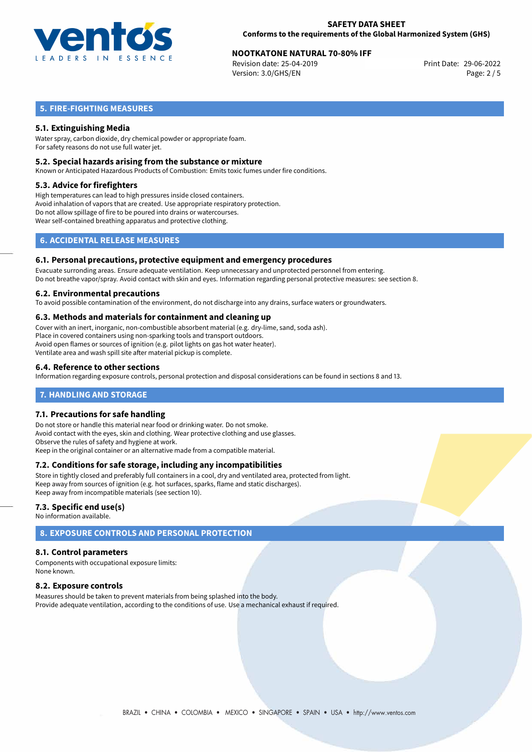

# **NOOTKATONE NATURAL 70-80% IFF**<br>
Revision date: 25-04-2019<br>
Print Date: 29-06-2022

Revision date: 25-04-2019 Version: 3.0/GHS/EN Page: 2 / 5

# **5. FIRE-FIGHTING MEASURES**

### **5.1. Extinguishing Media**

Water spray, carbon dioxide, dry chemical powder or appropriate foam. For safety reasons do not use full water jet.

### **5.2. Special hazards arising from the substance or mixture**

Known or Anticipated Hazardous Products of Combustion: Emits toxic fumes under fire conditions.

### **5.3. Advice for firefighters**

High temperatures can lead to high pressures inside closed containers. Avoid inhalation of vapors that are created. Use appropriate respiratory protection. Do not allow spillage of fire to be poured into drains or watercourses. Wear self-contained breathing apparatus and protective clothing.

# **6. ACCIDENTAL RELEASE MEASURES**

### **6.1. Personal precautions, protective equipment and emergency procedures**

Evacuate surronding areas. Ensure adequate ventilation. Keep unnecessary and unprotected personnel from entering. Do not breathe vapor/spray. Avoid contact with skin and eyes. Information regarding personal protective measures: see section 8.

### **6.2. Environmental precautions**

To avoid possible contamination of the environment, do not discharge into any drains, surface waters or groundwaters.

### **6.3. Methods and materials for containment and cleaning up**

Cover with an inert, inorganic, non-combustible absorbent material (e.g. dry-lime, sand, soda ash). Place in covered containers using non-sparking tools and transport outdoors. Avoid open flames or sources of ignition (e.g. pilot lights on gas hot water heater). Ventilate area and wash spill site after material pickup is complete.

### **6.4. Reference to other sections**

Information regarding exposure controls, personal protection and disposal considerations can be found in sections 8 and 13.

### **7. HANDLING AND STORAGE**

### **7.1. Precautions for safe handling**

Do not store or handle this material near food or drinking water. Do not smoke. Avoid contact with the eyes, skin and clothing. Wear protective clothing and use glasses. Observe the rules of safety and hygiene at work. Keep in the original container or an alternative made from a compatible material.

### **7.2. Conditions for safe storage, including any incompatibilities**

Store in tightly closed and preferably full containers in a cool, dry and ventilated area, protected from light. Keep away from sources of ignition (e.g. hot surfaces, sparks, flame and static discharges). Keep away from incompatible materials (see section 10).

### **7.3. Specific end use(s)**

No information available.

# **8. EXPOSURE CONTROLS AND PERSONAL PROTECTION**

### **8.1. Control parameters**

Components with occupational exposure limits: None known.

### **8.2. Exposure controls**

Measures should be taken to prevent materials from being splashed into the body. Provide adequate ventilation, according to the conditions of use. Use a mechanical exhaust if required.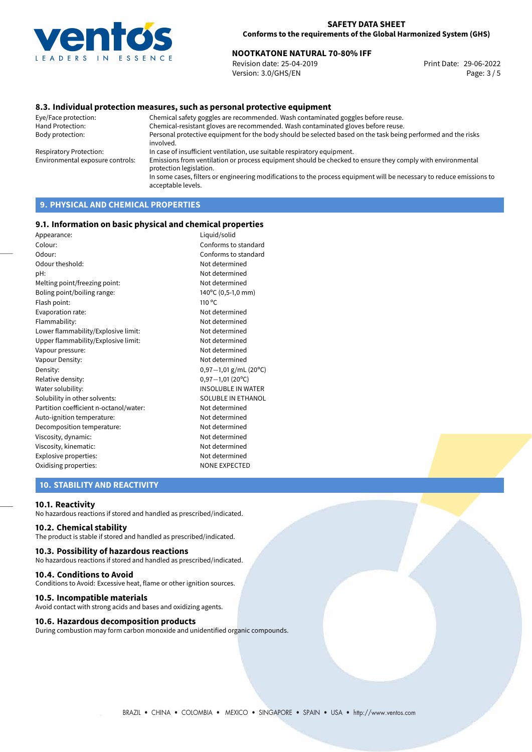

# **NOOTKATONE NATURAL 70-80% IFF**<br>Revision date: 25-04-2019<br>Print Date: 29-06-2022

Revision date: 25-04-2019 Version: 3.0/GHS/EN Page: 3 / 5

### **8.3. Individual protection measures, such as personal protective equipment**

Eye/Face protection: Chemical safety goggles are recommended. Wash contaminated goggles before reuse. Chemical-resistant gloves are recommended. Wash contaminated gloves before reuse. Body protection: Personal protective equipment for the body should be selected based on the task being performed and the risks involved. Respiratory Protection: In case of insufficient ventilation, use suitable respiratory equipment. Environmental exposure controls: Emissions from ventilation or process equipment should be checked to ensure they comply with environmental protection legislation. In some cases, filters or engineering modifications to the process equipment will be necessary to reduce emissions to acceptable levels.

# **9. PHYSICAL AND CHEMICAL PROPERTIES**

### **9.1. Information on basic physical and chemical properties**

| Appearance:                            | Liquid/solid              |
|----------------------------------------|---------------------------|
| Colour:                                | Conforms to standard      |
| Odour:                                 | Conforms to standard      |
| Odour theshold:                        | Not determined            |
| pH:                                    | Not determined            |
| Melting point/freezing point:          | Not determined            |
| Boling point/boiling range:            | 140°C (0,5-1,0 mm)        |
| Flash point:                           | $110^{\circ}$ C           |
| Evaporation rate:                      | Not determined            |
| Flammability:                          | Not determined            |
| Lower flammability/Explosive limit:    | Not determined            |
| Upper flammability/Explosive limit:    | Not determined            |
| Vapour pressure:                       | Not determined            |
| Vapour Density:                        | Not determined            |
| Density:                               | $0,97-1,01$ g/mL (20°C)   |
| Relative density:                      | $0,97-1,01(20°C)$         |
| Water solubility:                      | <b>INSOLUBLE IN WATER</b> |
| Solubility in other solvents:          | SOLUBLE IN ETHANOL        |
| Partition coefficient n-octanol/water: | Not determined            |
| Auto-ignition temperature:             | Not determined            |
| Decomposition temperature:             | Not determined            |
| Viscosity, dynamic:                    | Not determined            |
| Viscosity, kinematic:                  | Not determined            |
| Explosive properties:                  | Not determined            |
| Oxidising properties:                  | <b>NONE EXPECTED</b>      |
|                                        |                           |

### **10. STABILITY AND REACTIVITY**

#### **10.1. Reactivity**

No hazardous reactions if stored and handled as prescribed/indicated.

### **10.2. Chemical stability**

The product is stable if stored and handled as prescribed/indicated.

### **10.3. Possibility of hazardous reactions**

No hazardous reactions if stored and handled as prescribed/indicated.

#### **10.4. Conditions to Avoid**

Conditions to Avoid: Excessive heat, flame or other ignition sources.

### **10.5. Incompatible materials**

Avoid contact with strong acids and bases and oxidizing agents.

### **10.6. Hazardous decomposition products**

During combustion may form carbon monoxide and unidentified organic compounds.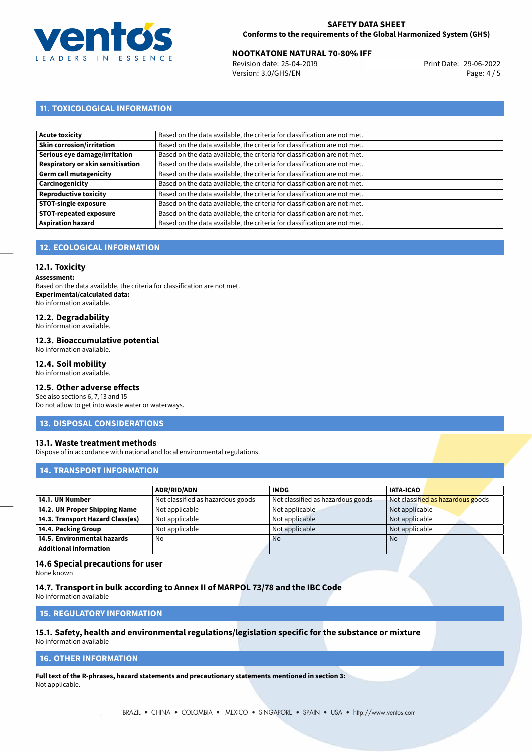

# **NOOTKATONE NATURAL 70-80% IFF**<br>
Revision date: 25-04-2019<br>
Print Date: 29-06-2022

Revision date: 25-04-2019 Version: 3.0/GHS/EN Page: 4 / 5

# **11. TOXICOLOGICAL INFORMATION**

| Acute toxicity                    | Based on the data available, the criteria for classification are not met. |
|-----------------------------------|---------------------------------------------------------------------------|
| Skin corrosion/irritation         | Based on the data available, the criteria for classification are not met. |
| Serious eye damage/irritation     | Based on the data available, the criteria for classification are not met. |
| Respiratory or skin sensitisation | Based on the data available, the criteria for classification are not met. |
| Germ cell mutagenicity            | Based on the data available, the criteria for classification are not met. |
| <b>Carcinogenicity</b>            | Based on the data available, the criteria for classification are not met. |
| Reproductive toxicity             | Based on the data available, the criteria for classification are not met. |
| <b>STOT-single exposure</b>       | Based on the data available, the criteria for classification are not met. |
| <b>STOT-repeated exposure</b>     | Based on the data available, the criteria for classification are not met. |
| <b>Aspiration hazard</b>          | Based on the data available, the criteria for classification are not met. |

# **12. ECOLOGICAL INFORMATION**

### **12.1. Toxicity**

**Assessment:**

Based on the data available, the criteria for classification are not met. **Experimental/calculated data:** No information available.

# **12.2. Degradability**

No information available.

### **12.3. Bioaccumulative potential**

No information available.

### **12.4. Soil mobility**

No information available.

## **12.5. Other adverse effects**

See also sections 6, 7, 13 and 15 Do not allow to get into waste water or waterways.

### **13. DISPOSAL CONSIDERATIONS**

### **13.1. Waste treatment methods**

Dispose of in accordance with national and local environmental regulations.

### **14. TRANSPORT INFORMATION**

|                                  | <b>ADR/RID/ADN</b>                | <b>IMDG</b>                       | <b>IATA-ICAO</b>                  |
|----------------------------------|-----------------------------------|-----------------------------------|-----------------------------------|
| 14.1. UN Number                  | Not classified as hazardous goods | Not classified as hazardous goods | Not classified as hazardous goods |
| 14.2. UN Proper Shipping Name    | Not applicable                    | Not applicable                    | Not applicable                    |
| 14.3. Transport Hazard Class(es) | Not applicable                    | Not applicable                    | Not applicable                    |
| 14.4. Packing Group              | Not applicable                    | Not applicable                    | Not applicable                    |
| 14.5. Environmental hazards      | No                                | <b>No</b>                         | No                                |
| <b>Additional information</b>    |                                   |                                   |                                   |

### **14.6 Special precautions for user**

None known

### **14.7. Transport in bulk according to Annex II of MARPOL 73/78 and the IBC Code**

No information available

# **15. REGULATORY INFORMATION**

# **15.1. Safety, health and environmental regulations/legislation specific for the substance or mixture**

No information available

## **16. OTHER INFORMATION**

**Full text of the R-phrases, hazard statements and precautionary statements mentioned in section 3:** Not applicable.